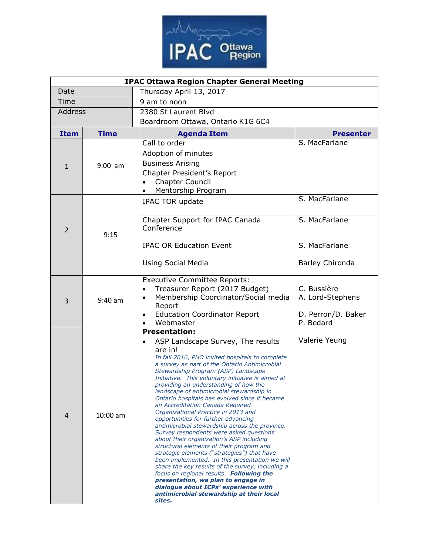

| <b>IPAC Ottawa Region Chapter General Meeting</b> |             |                                                                                                                                                                                                                                                                                                                                                                                                                                                                                                                                                                                                                                                                                                                                                                                                                                                                                                                                                                                                                                                                      |                                                                    |  |  |  |
|---------------------------------------------------|-------------|----------------------------------------------------------------------------------------------------------------------------------------------------------------------------------------------------------------------------------------------------------------------------------------------------------------------------------------------------------------------------------------------------------------------------------------------------------------------------------------------------------------------------------------------------------------------------------------------------------------------------------------------------------------------------------------------------------------------------------------------------------------------------------------------------------------------------------------------------------------------------------------------------------------------------------------------------------------------------------------------------------------------------------------------------------------------|--------------------------------------------------------------------|--|--|--|
| Date                                              |             | Thursday April 13, 2017                                                                                                                                                                                                                                                                                                                                                                                                                                                                                                                                                                                                                                                                                                                                                                                                                                                                                                                                                                                                                                              |                                                                    |  |  |  |
| Time                                              |             | 9 am to noon                                                                                                                                                                                                                                                                                                                                                                                                                                                                                                                                                                                                                                                                                                                                                                                                                                                                                                                                                                                                                                                         |                                                                    |  |  |  |
| Address                                           |             | 2380 St Laurent Blvd                                                                                                                                                                                                                                                                                                                                                                                                                                                                                                                                                                                                                                                                                                                                                                                                                                                                                                                                                                                                                                                 |                                                                    |  |  |  |
|                                                   |             | Boardroom Ottawa, Ontario K1G 6C4                                                                                                                                                                                                                                                                                                                                                                                                                                                                                                                                                                                                                                                                                                                                                                                                                                                                                                                                                                                                                                    |                                                                    |  |  |  |
| <b>Item</b>                                       | <b>Time</b> | <b>Agenda Item</b>                                                                                                                                                                                                                                                                                                                                                                                                                                                                                                                                                                                                                                                                                                                                                                                                                                                                                                                                                                                                                                                   | <b>Presenter</b>                                                   |  |  |  |
| $\mathbf{1}$                                      | $9:00$ am   | Call to order<br>Adoption of minutes<br><b>Business Arising</b><br>Chapter President's Report<br><b>Chapter Council</b><br>Mentorship Program                                                                                                                                                                                                                                                                                                                                                                                                                                                                                                                                                                                                                                                                                                                                                                                                                                                                                                                        | S. MacFarlane                                                      |  |  |  |
| $\overline{2}$                                    | 9:15        | IPAC TOR update                                                                                                                                                                                                                                                                                                                                                                                                                                                                                                                                                                                                                                                                                                                                                                                                                                                                                                                                                                                                                                                      | S. MacFarlane                                                      |  |  |  |
|                                                   |             | Chapter Support for IPAC Canada<br>Conference                                                                                                                                                                                                                                                                                                                                                                                                                                                                                                                                                                                                                                                                                                                                                                                                                                                                                                                                                                                                                        | S. MacFarlane                                                      |  |  |  |
|                                                   |             | <b>IPAC OR Education Event</b>                                                                                                                                                                                                                                                                                                                                                                                                                                                                                                                                                                                                                                                                                                                                                                                                                                                                                                                                                                                                                                       | S. MacFarlane                                                      |  |  |  |
|                                                   |             | <b>Using Social Media</b>                                                                                                                                                                                                                                                                                                                                                                                                                                                                                                                                                                                                                                                                                                                                                                                                                                                                                                                                                                                                                                            | Barley Chironda                                                    |  |  |  |
| 3                                                 | $9:40$ am   | <b>Executive Committee Reports:</b><br>Treasurer Report (2017 Budget)<br>$\bullet$<br>Membership Coordinator/Social media<br>$\bullet$<br>Report<br><b>Education Coordinator Report</b><br>$\bullet$<br>Webmaster<br>$\bullet$                                                                                                                                                                                                                                                                                                                                                                                                                                                                                                                                                                                                                                                                                                                                                                                                                                       | C. Bussière<br>A. Lord-Stephens<br>D. Perron/D. Baker<br>P. Bedard |  |  |  |
| 4                                                 | $10:00$ am  | <b>Presentation:</b><br>ASP Landscape Survey, The results<br>$\bullet$<br>are in!<br>In fall 2016, PHO invited hospitals to complete<br>a survey as part of the Ontario Antimicrobial<br>Stewardship Program (ASP) Landscape<br>Initiative. This voluntary initiative is aimed at<br>providing an understanding of how the<br>landscape of antimicrobial stewardship in<br>Ontario hospitals has evolved since it became<br>an Accreditation Canada Required<br>Organizational Practice in 2013 and<br>opportunities for further advancing<br>antimicrobial stewardship across the province.<br>Survey respondents were asked questions<br>about their organization's ASP including<br>structural elements of their program and<br>strategic elements ("strategies") that have<br>been implemented. In this presentation we will<br>share the key results of the survey, including a<br>focus on regional results. Following the<br>presentation, we plan to engage in<br>dialogue about ICPs' experience with<br>antimicrobial stewardship at their local<br>sites. | Valerie Yeung                                                      |  |  |  |